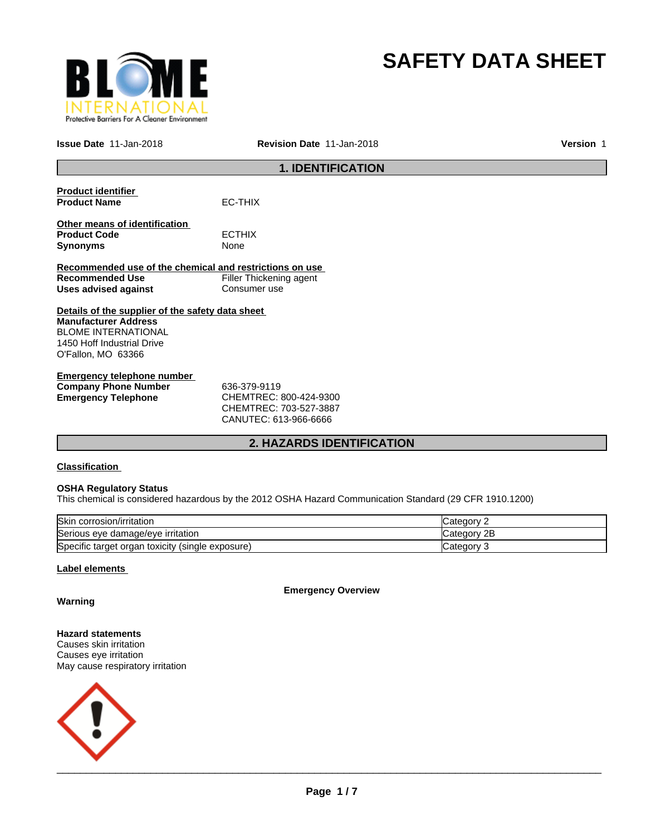

# **SAFETY DATA SHEET**

**Issue Date** 11-Jan-2018 **Revision Date** 11-Jan-2018 **Version** 1

## **1. IDENTIFICATION**

| <b>Product identifier</b><br><b>Product Name</b>                                                                                                           | FC-THIX                                |
|------------------------------------------------------------------------------------------------------------------------------------------------------------|----------------------------------------|
| Other means of identification<br><b>Product Code</b><br><b>Synonyms</b>                                                                                    | <b>ECTHIX</b><br>None                  |
| Recommended use of the chemical and restrictions on use                                                                                                    |                                        |
| Recommended Use                                                                                                                                            | Filler Thickening agent                |
| Uses advised against                                                                                                                                       | Consumer use                           |
| Details of the supplier of the safety data sheet<br><b>Manufacturer Address</b><br>BLOME INTERNATIONAL<br>1450 Hoff Industrial Drive<br>O'Fallon, MO 63366 |                                        |
| Emergency telephone number<br><b>Company Phone Number</b><br><b>Emergency Telephone</b>                                                                    | 636-379-9119<br>CHEMTREC: 800-424-9300 |

CHEMTREC: 703-527-3887 CANUTEC: 613-966-6666

### **2. HAZARDS IDENTIFICATION**

### **Classification**

### **OSHA Regulatory Status**

This chemical is considered hazardous by the 2012 OSHA Hazard Communication Standard (29 CFR 1910.1200)

| Skin corrosion/irritation                        | Category    |
|--------------------------------------------------|-------------|
| Serious eye damage/eye irritation                | Category 2B |
| Specific target organ toxicity (single exposure) | Category    |

### **Label elements**

**Emergency Overview**

**Warning**

### **Hazard statements** Causes skin irritation

Causes eye irritation May cause respiratory irritation

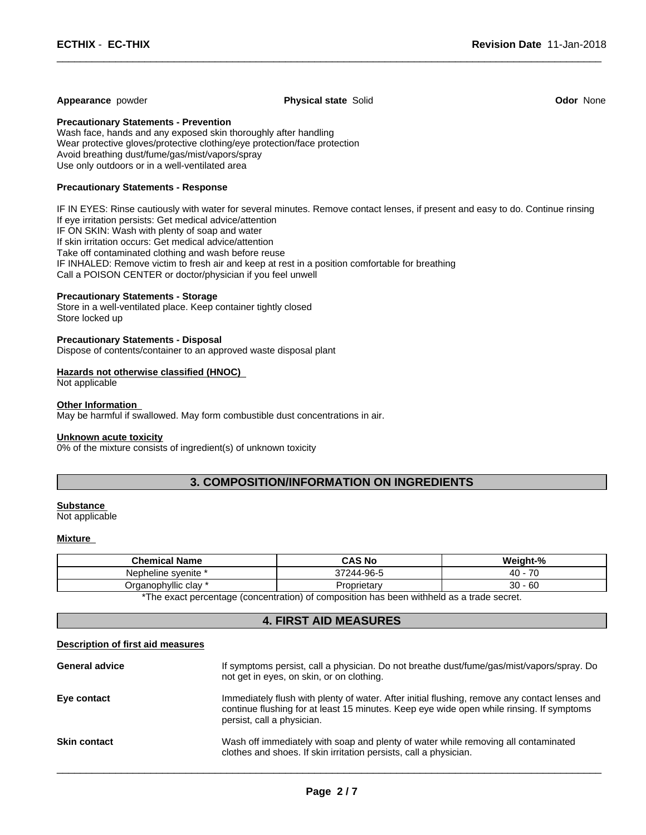### **Appearance** powder **Physical state** Solid **Odor** None

 $\overline{\phantom{a}}$  ,  $\overline{\phantom{a}}$  ,  $\overline{\phantom{a}}$  ,  $\overline{\phantom{a}}$  ,  $\overline{\phantom{a}}$  ,  $\overline{\phantom{a}}$  ,  $\overline{\phantom{a}}$  ,  $\overline{\phantom{a}}$  ,  $\overline{\phantom{a}}$  ,  $\overline{\phantom{a}}$  ,  $\overline{\phantom{a}}$  ,  $\overline{\phantom{a}}$  ,  $\overline{\phantom{a}}$  ,  $\overline{\phantom{a}}$  ,  $\overline{\phantom{a}}$  ,  $\overline{\phantom{a}}$ 

**Precautionary Statements - Prevention**

Wash face, hands and any exposed skin thoroughly after handling Wear protective gloves/protective clothing/eye protection/face protection Avoid breathing dust/fume/gas/mist/vapors/spray Use only outdoors or in a well-ventilated area

### **Precautionary Statements - Response**

IF IN EYES: Rinse cautiously with water for several minutes. Remove contact lenses, if present and easy to do. Continue rinsing If eye irritation persists: Get medical advice/attention IF ON SKIN: Wash with plenty of soap and water If skin irritation occurs: Get medical advice/attention Take off contaminated clothing and wash before reuse IF INHALED: Remove victim to fresh air and keep at rest in a position comfortable for breathing Call a POISON CENTER or doctor/physician if you feel unwell

### **Precautionary Statements - Storage**

Store in a well-ventilated place. Keep container tightly closed Store locked up

### **Precautionary Statements - Disposal**

Dispose of contents/container to an approved waste disposal plant

### **Hazards not otherwise classified (HNOC)**

Not applicable

#### **Other Information**

May be harmful if swallowed. May form combustible dust concentrations in air.

#### **Unknown acute toxicity**

0% of the mixture consists of ingredient(s) of unknown toxicity

### **3. COMPOSITION/INFORMATION ON INGREDIENTS**

### **Substance**

Not applicable

### **Mixture**

| <b>Chemical Name</b> | <b>CAS No</b>                                                                                                    | Weight-%                                  |
|----------------------|------------------------------------------------------------------------------------------------------------------|-------------------------------------------|
| Nepheline svenite    | 244-96-5<br>27044                                                                                                | $\overline{\phantom{a}}$<br>$\sim$<br>-40 |
| Organophyllic clay   | Proprietan                                                                                                       | ٦C<br>$\sim$<br>∸ou<br>ບບ                 |
| $+T$                 | rende and the second contract of the second contract of the second contract of the second contract of the second |                                           |

The exact percentage (concentration) of composition has been withheld as a trade secret.

### **4. FIRST AID MEASURES**

### **Description of first aid measures**

| <b>General advice</b> | If symptoms persist, call a physician. Do not breathe dust/fume/gas/mist/vapors/spray. Do<br>not get in eyes, on skin, or on clothing.                                                                                  |
|-----------------------|-------------------------------------------------------------------------------------------------------------------------------------------------------------------------------------------------------------------------|
| Eye contact           | Immediately flush with plenty of water. After initial flushing, remove any contact lenses and<br>continue flushing for at least 15 minutes. Keep eye wide open while rinsing. If symptoms<br>persist, call a physician. |
| <b>Skin contact</b>   | Wash off immediately with soap and plenty of water while removing all contaminated<br>clothes and shoes. If skin irritation persists, call a physician.                                                                 |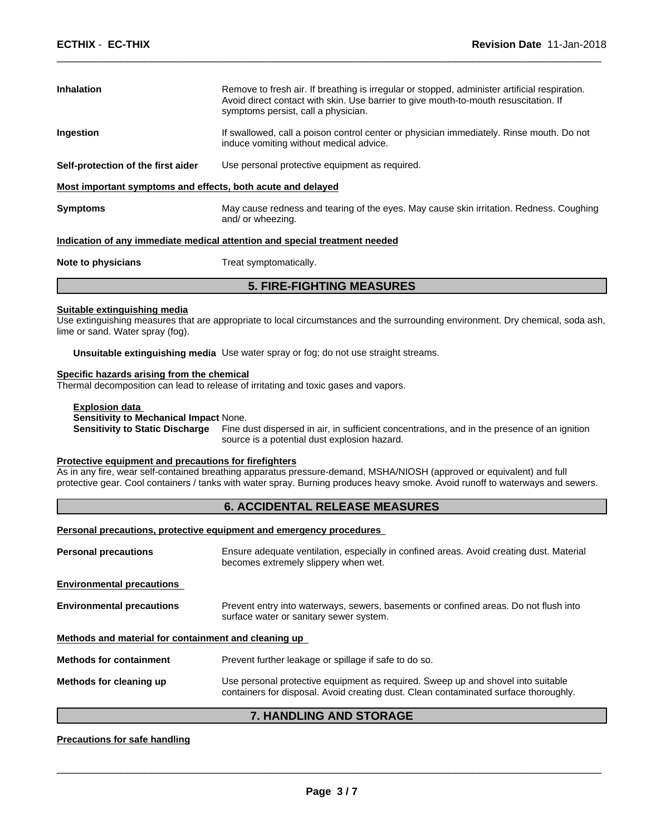| <b>Inhalation</b>                                           | Remove to fresh air. If breathing is irregular or stopped, administer artificial respiration.<br>Avoid direct contact with skin. Use barrier to give mouth-to-mouth resuscitation. If<br>symptoms persist, call a physician. |
|-------------------------------------------------------------|------------------------------------------------------------------------------------------------------------------------------------------------------------------------------------------------------------------------------|
| Ingestion                                                   | If swallowed, call a poison control center or physician immediately. Rinse mouth. Do not<br>induce vomiting without medical advice.                                                                                          |
| Self-protection of the first aider                          | Use personal protective equipment as required.                                                                                                                                                                               |
| Most important symptoms and effects, both acute and delayed |                                                                                                                                                                                                                              |
| <b>Symptoms</b>                                             | May cause redness and tearing of the eyes. May cause skin irritation. Redness. Coughing                                                                                                                                      |

 $\overline{\phantom{a}}$  ,  $\overline{\phantom{a}}$  ,  $\overline{\phantom{a}}$  ,  $\overline{\phantom{a}}$  ,  $\overline{\phantom{a}}$  ,  $\overline{\phantom{a}}$  ,  $\overline{\phantom{a}}$  ,  $\overline{\phantom{a}}$  ,  $\overline{\phantom{a}}$  ,  $\overline{\phantom{a}}$  ,  $\overline{\phantom{a}}$  ,  $\overline{\phantom{a}}$  ,  $\overline{\phantom{a}}$  ,  $\overline{\phantom{a}}$  ,  $\overline{\phantom{a}}$  ,  $\overline{\phantom{a}}$ 

### **Indication of any immediate medical attention and special treatment needed**

| Note to physicians | Treat symptomatically. |
|--------------------|------------------------|
|--------------------|------------------------|

### **5. FIRE-FIGHTING MEASURES**

#### **Suitable extinguishing media**

Use extinguishing measures that are appropriate to local circumstances and the surrounding environment. Dry chemical, soda ash, lime or sand. Water spray (fog).

**Unsuitable extinguishing media** Use water spray or fog; do not use straight streams.

and/ or wheezing.

#### **Specific hazards arising from the chemical**

Thermal decomposition can lead to release of irritating and toxic gases and vapors.

### **Explosion data**

### **Sensitivity to Mechanical Impact** None.

**Sensitivity to Static Discharge** Fine dust dispersed in air, in sufficient concentrations, and in the presence of an ignition source is a potential dust explosion hazard.

#### **Protective equipment and precautions for firefighters**

As in any fire, wear self-contained breathing apparatus pressure-demand, MSHA/NIOSH (approved or equivalent) and full protective gear. Cool containers / tanks with water spray. Burning produces heavy smoke. Avoid runoff to waterways and sewers.

### **6. ACCIDENTAL RELEASE MEASURES**

#### **Personal precautions, protective equipment and emergency procedures**

| <b>Personal precautions</b>                          | Ensure adequate ventilation, especially in confined areas. Avoid creating dust. Material<br>becomes extremely slippery when wet. |  |
|------------------------------------------------------|----------------------------------------------------------------------------------------------------------------------------------|--|
| <b>Environmental precautions</b>                     |                                                                                                                                  |  |
| <b>Environmental precautions</b>                     | Prevent entry into waterways, sewers, basements or confined areas. Do not flush into<br>surface water or sanitary sewer system.  |  |
| Methods and material for containment and cleaning up |                                                                                                                                  |  |
| <b>Methods for containment</b>                       | Prevent further leakage or spillage if safe to do so.                                                                            |  |
| Methods for cleaning up                              | Use personal protective equipment as required. Sweep up and shovel into suitable                                                 |  |

### **7. HANDLING AND STORAGE**

#### **Precautions for safe handling**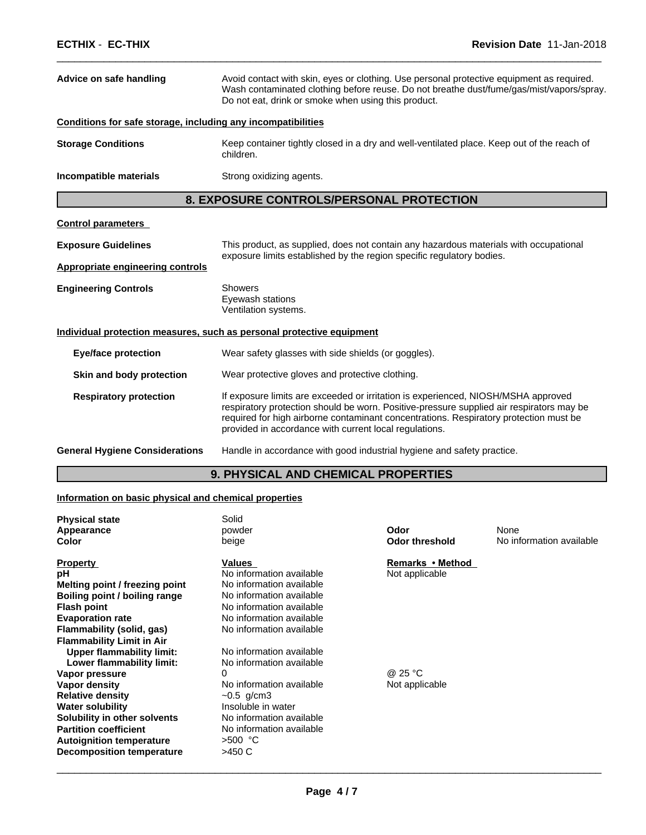| Advice on safe handling                                      | Avoid contact with skin, eyes or clothing. Use personal protective equipment as required.<br>Wash contaminated clothing before reuse. Do not breathe dust/fume/gas/mist/vapors/spray.<br>Do not eat, drink or smoke when using this product.                                                                                     |  |  |
|--------------------------------------------------------------|----------------------------------------------------------------------------------------------------------------------------------------------------------------------------------------------------------------------------------------------------------------------------------------------------------------------------------|--|--|
| Conditions for safe storage, including any incompatibilities |                                                                                                                                                                                                                                                                                                                                  |  |  |
| <b>Storage Conditions</b>                                    | Keep container tightly closed in a dry and well-ventilated place. Keep out of the reach of<br>children.                                                                                                                                                                                                                          |  |  |
| Incompatible materials                                       | Strong oxidizing agents.                                                                                                                                                                                                                                                                                                         |  |  |
|                                                              | 8. EXPOSURE CONTROLS/PERSONAL PROTECTION                                                                                                                                                                                                                                                                                         |  |  |
| <b>Control parameters</b>                                    |                                                                                                                                                                                                                                                                                                                                  |  |  |
| <b>Exposure Guidelines</b>                                   | This product, as supplied, does not contain any hazardous materials with occupational                                                                                                                                                                                                                                            |  |  |
| <b>Appropriate engineering controls</b>                      | exposure limits established by the region specific regulatory bodies.                                                                                                                                                                                                                                                            |  |  |
| <b>Engineering Controls</b>                                  | <b>Showers</b><br>Eyewash stations<br>Ventilation systems.                                                                                                                                                                                                                                                                       |  |  |
|                                                              | Individual protection measures, such as personal protective equipment                                                                                                                                                                                                                                                            |  |  |
| <b>Eye/face protection</b>                                   | Wear safety glasses with side shields (or goggles).                                                                                                                                                                                                                                                                              |  |  |
| Skin and body protection                                     | Wear protective gloves and protective clothing.                                                                                                                                                                                                                                                                                  |  |  |
| <b>Respiratory protection</b>                                | If exposure limits are exceeded or irritation is experienced, NIOSH/MSHA approved<br>respiratory protection should be worn. Positive-pressure supplied air respirators may be<br>required for high airborne contaminant concentrations. Respiratory protection must be<br>provided in accordance with current local regulations. |  |  |
| <b>General Hygiene Considerations</b>                        | Handle in accordance with good industrial hygiene and safety practice.                                                                                                                                                                                                                                                           |  |  |

 $\overline{\phantom{a}}$  ,  $\overline{\phantom{a}}$  ,  $\overline{\phantom{a}}$  ,  $\overline{\phantom{a}}$  ,  $\overline{\phantom{a}}$  ,  $\overline{\phantom{a}}$  ,  $\overline{\phantom{a}}$  ,  $\overline{\phantom{a}}$  ,  $\overline{\phantom{a}}$  ,  $\overline{\phantom{a}}$  ,  $\overline{\phantom{a}}$  ,  $\overline{\phantom{a}}$  ,  $\overline{\phantom{a}}$  ,  $\overline{\phantom{a}}$  ,  $\overline{\phantom{a}}$  ,  $\overline{\phantom{a}}$ 

### **9. PHYSICAL AND CHEMICAL PROPERTIES**

### **Information on basic physical and chemical properties**

| <b>Physical state</b><br>Appearance<br>Color                                                                                                                                                                                                                                                                                      | Solid<br>powder<br>beige                                                                                                                                                                                | Odor<br><b>Odor threshold</b>      | None<br>No information available |
|-----------------------------------------------------------------------------------------------------------------------------------------------------------------------------------------------------------------------------------------------------------------------------------------------------------------------------------|---------------------------------------------------------------------------------------------------------------------------------------------------------------------------------------------------------|------------------------------------|----------------------------------|
| <b>Property</b><br>рH<br>Melting point / freezing point<br>Boiling point / boiling range<br><b>Flash point</b><br><b>Evaporation rate</b><br>Flammability (solid, gas)                                                                                                                                                            | Values<br>No information available<br>No information available<br>No information available<br>No information available<br>No information available<br>No information available                          | Remarks • Method<br>Not applicable |                                  |
| <b>Flammability Limit in Air</b><br><b>Upper flammability limit:</b><br>Lower flammability limit:<br>Vapor pressure<br>Vapor density<br><b>Relative density</b><br><b>Water solubility</b><br>Solubility in other solvents<br><b>Partition coefficient</b><br><b>Autoignition temperature</b><br><b>Decomposition temperature</b> | No information available<br>No information available<br>No information available<br>$-0.5$ g/cm3<br>Insoluble in water<br>No information available<br>No information available<br>$>500$ °C<br>$>450$ C | @ 25 °C<br>Not applicable          |                                  |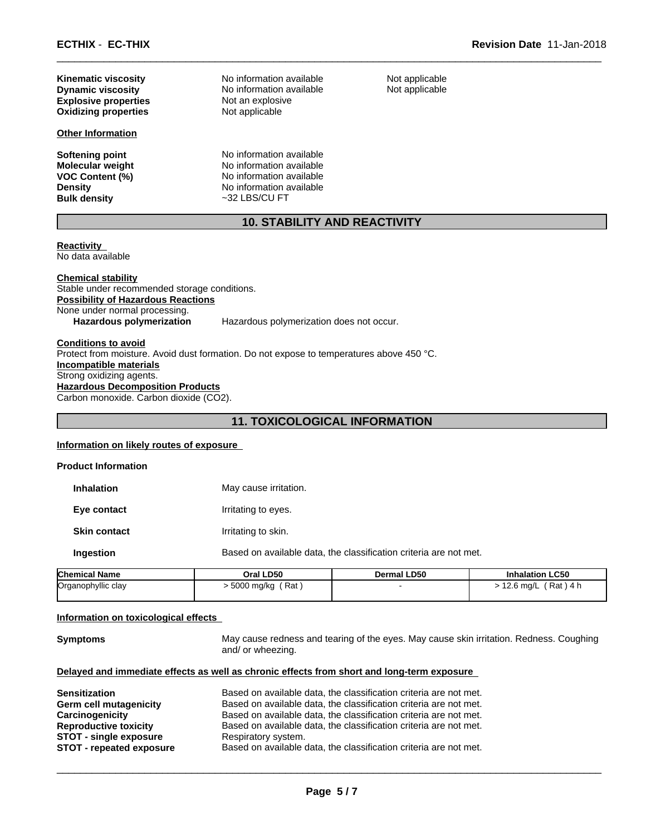**Explosive properties** Not an explosive **Oxidizing properties** Not applicable

### **Other Information**

**Molecular weight<br>VOC Content (%)** 

**Dynamic viscosity** No information available **Kinematic viscosity** No information available

**Softening point No information available**<br> **Molecular weight No information available No information available Density** No information available<br> **Bulk density**  $\sim$  32 LBS/CU FT **Bulk density** ~32 LBS/CU FT

Not applicable Not applicable

 $\overline{\phantom{a}}$  ,  $\overline{\phantom{a}}$  ,  $\overline{\phantom{a}}$  ,  $\overline{\phantom{a}}$  ,  $\overline{\phantom{a}}$  ,  $\overline{\phantom{a}}$  ,  $\overline{\phantom{a}}$  ,  $\overline{\phantom{a}}$  ,  $\overline{\phantom{a}}$  ,  $\overline{\phantom{a}}$  ,  $\overline{\phantom{a}}$  ,  $\overline{\phantom{a}}$  ,  $\overline{\phantom{a}}$  ,  $\overline{\phantom{a}}$  ,  $\overline{\phantom{a}}$  ,  $\overline{\phantom{a}}$ 

### **10. STABILITY AND REACTIVITY**

**Reactivity**  No data available

**Chemical stability** Stable under recommended storage conditions. **Possibility of Hazardous Reactions** None under normal processing.<br>Hazardous polymerization Hazardous polymerization does not occur.

### **Conditions to avoid** Protect from moisture. Avoid dust formation. Do not expose to temperatures above 450 °C. **Incompatible materials** Strong oxidizing agents. **Hazardous Decomposition Products** Carbon monoxide. Carbon dioxide (CO2).

### **11. TOXICOLOGICAL INFORMATION**

#### **Information on likely routes of exposure**

| Chamical Nama              | Oral LD50             | Dermal LD50                                                       | Inhala |
|----------------------------|-----------------------|-------------------------------------------------------------------|--------|
| Ingestion                  |                       | Based on available data, the classification criteria are not met. |        |
| <b>Skin contact</b>        | Irritating to skin.   |                                                                   |        |
| Eye contact                | Irritating to eyes.   |                                                                   |        |
| <b>Inhalation</b>          | May cause irritation. |                                                                   |        |
| <b>Product Information</b> |                       |                                                                   |        |

| <b>Chemical Name</b> | Oral LD50            | <b>Dermal LD50</b> | <b>Inhalation LC50</b> |
|----------------------|----------------------|--------------------|------------------------|
| Organophyllic clay   | ∵Rat ,<br>5000 ma/ka |                    | . Rat `<br>2.6 ma/L    |

### **Information on toxicological effects**

**Symptoms** May cause redness and tearing of the eyes. May cause skin irritation. Redness. Coughing and/ or wheezing.

 $\overline{\phantom{a}}$  ,  $\overline{\phantom{a}}$  ,  $\overline{\phantom{a}}$  ,  $\overline{\phantom{a}}$  ,  $\overline{\phantom{a}}$  ,  $\overline{\phantom{a}}$  ,  $\overline{\phantom{a}}$  ,  $\overline{\phantom{a}}$  ,  $\overline{\phantom{a}}$  ,  $\overline{\phantom{a}}$  ,  $\overline{\phantom{a}}$  ,  $\overline{\phantom{a}}$  ,  $\overline{\phantom{a}}$  ,  $\overline{\phantom{a}}$  ,  $\overline{\phantom{a}}$  ,  $\overline{\phantom{a}}$ 

### **Delayed and immediate effects as well as chronic effects from short and long-term exposure**

| <b>Sensitization</b>            | Based on available data, the classification criteria are not met. |
|---------------------------------|-------------------------------------------------------------------|
| Germ cell mutagenicity          | Based on available data, the classification criteria are not met. |
| Carcinogenicity                 | Based on available data, the classification criteria are not met. |
| <b>Reproductive toxicity</b>    | Based on available data, the classification criteria are not met. |
| <b>STOT - single exposure</b>   | Respiratory system.                                               |
| <b>STOT - repeated exposure</b> | Based on available data, the classification criteria are not met. |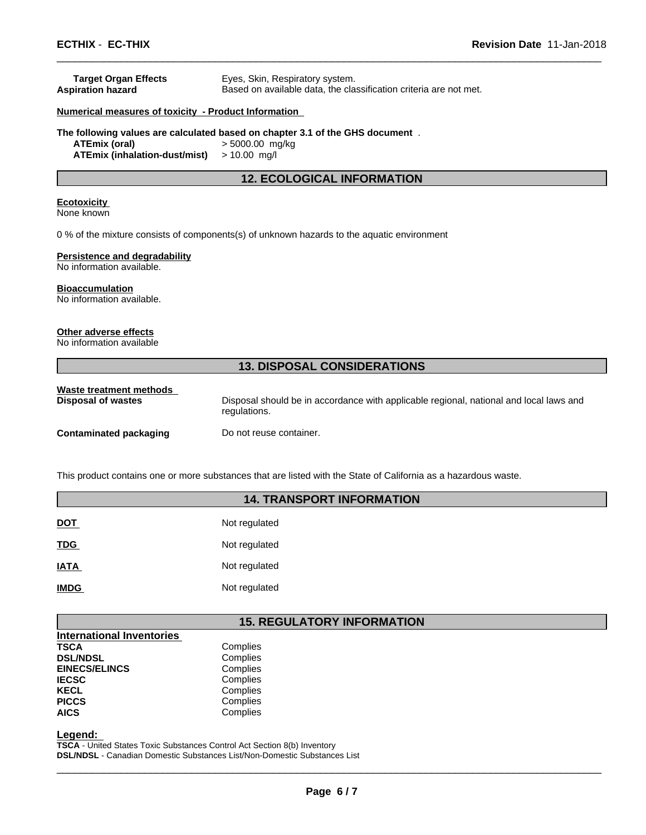| <b>Target Organ Effects</b>                          | Eyes, Skin, Respiratory system.                                               |
|------------------------------------------------------|-------------------------------------------------------------------------------|
| <b>Aspiration hazard</b>                             | Based on available data, the classification criteria are not met.             |
| Numerical measures of toxicity - Product Information |                                                                               |
|                                                      | The following values are calculated based on chapter 3.1 of the GHS document. |
| ATEmix (oral)                                        | $> 5000.00$ mg/kg                                                             |
| <b>ATEmix (inhalation-dust/mist)</b>                 | $> 10.00$ mg/l                                                                |
|                                                      | <b>12. ECOLOGICAL INFORMATION</b>                                             |
| <b>Ecotoxicity</b>                                   |                                                                               |
| None known                                           |                                                                               |
|                                                      |                                                                               |

0 % of the mixture consists of components(s) of unknown hazards to the aquatic environment

### **Persistence and degradability**

No information available.

#### **Bioaccumulation**

No information available.

### **Other adverse effects**

No information available

### **13. DISPOSAL CONSIDERATIONS**

 $\overline{\phantom{a}}$  ,  $\overline{\phantom{a}}$  ,  $\overline{\phantom{a}}$  ,  $\overline{\phantom{a}}$  ,  $\overline{\phantom{a}}$  ,  $\overline{\phantom{a}}$  ,  $\overline{\phantom{a}}$  ,  $\overline{\phantom{a}}$  ,  $\overline{\phantom{a}}$  ,  $\overline{\phantom{a}}$  ,  $\overline{\phantom{a}}$  ,  $\overline{\phantom{a}}$  ,  $\overline{\phantom{a}}$  ,  $\overline{\phantom{a}}$  ,  $\overline{\phantom{a}}$  ,  $\overline{\phantom{a}}$ 

| Waste treatment methods | Disposal should be in accordance with applicable regional, national and local laws and |
|-------------------------|----------------------------------------------------------------------------------------|
| Disposal of wastes      | regulations.                                                                           |
| Contaminated packaging  | Do not reuse container.                                                                |

This product contains one or more substances that are listed with the State of California as a hazardous waste.

### **14. TRANSPORT INFORMATION**

| <u>DOT</u>  | Not regulated |
|-------------|---------------|
| <b>TDG</b>  | Not regulated |
| <b>IATA</b> | Not regulated |
| <b>IMDG</b> | Not regulated |

### **15. REGULATORY INFORMATION**

| <b>International Inventories</b> |          |
|----------------------------------|----------|
| TSCA                             | Complies |
| <b>DSL/NDSL</b>                  | Complies |
| <b>EINECS/ELINCS</b>             | Complies |
| <b>IECSC</b>                     | Complies |
| KECL                             | Complies |
| <b>PICCS</b>                     | Complies |
| <b>AICS</b>                      | Complies |
|                                  |          |

**Legend:** 

**TSCA** - United States Toxic Substances Control Act Section 8(b) Inventory **DSL/NDSL** - Canadian Domestic Substances List/Non-Domestic Substances List